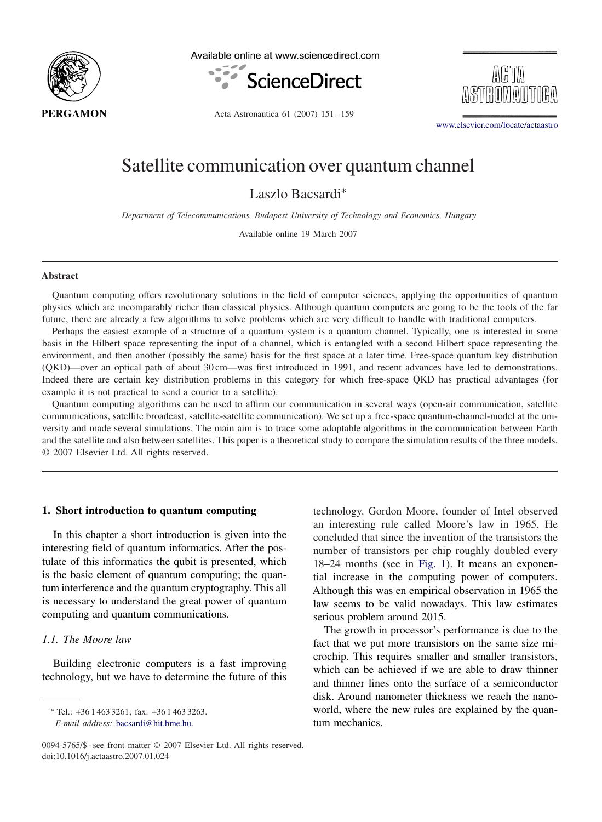

Available online at www.sciencedirect.com





Acta Astronautica 61 (2007) 151 – 159

[www.elsevier.com/locate/actaastro](http://www.elsevier.com/locate/actaastro)

# Satellite communication over quantum channel

Laszlo Bacsardi<sup>∗</sup>

*Department of Telecommunications, Budapest University of Technology and Economics, Hungary*

Available online 19 March 2007

#### **Abstract**

Quantum computing offers revolutionary solutions in the field of computer sciences, applying the opportunities of quantum physics which are incomparably richer than classical physics. Although quantum computers are going to be the tools of the far future, there are already a few algorithms to solve problems which are very difficult to handle with traditional computers.

Perhaps the easiest example of a structure of a quantum system is a quantum channel. Typically, one is interested in some basis in the Hilbert space representing the input of a channel, which is entangled with a second Hilbert space representing the environment, and then another (possibly the same) basis for the first space at a later time. Free-space quantum key distribution (QKD)—over an optical path of about 30 cm—was first introduced in 1991, and recent advances have led to demonstrations. Indeed there are certain key distribution problems in this category for which free-space QKD has practical advantages (for example it is not practical to send a courier to a satellite).

Quantum computing algorithms can be used to affirm our communication in several ways (open-air communication, satellite communications, satellite broadcast, satellite-satellite communication). We set up a free-space quantum-channel-model at the university and made several simulations. The main aim is to trace some adoptable algorithms in the communication between Earth and the satellite and also between satellites. This paper is a theoretical study to compare the simulation results of the three models. © 2007 Elsevier Ltd. All rights reserved.

## **1. Short introduction to quantum computing**

In this chapter a short introduction is given into the interesting field of quantum informatics. After the postulate of this informatics the qubit is presented, which is the basic element of quantum computing; the quantum interference and the quantum cryptography. This all is necessary to understand the great power of quantum computing and quantum communications.

# *1.1. The Moore law*

Building electronic computers is a fast improving technology, but we have to determine the future of this technology. Gordon Moore, founder of Intel observed an interesting rule called Moore's law in 1965. He concluded that since the invention of the transistors the number of transistors per chip roughly doubled every 18–24 months (see in [Fig. 1\)](#page-1-0). It means an exponential increase in the computing power of computers. Although this was en empirical observation in 1965 the law seems to be valid nowadays. This law estimates serious problem around 2015.

The growth in processor's performance is due to the fact that we put more transistors on the same size microchip. This requires smaller and smaller transistors, which can be achieved if we are able to draw thinner and thinner lines onto the surface of a semiconductor disk. Around nanometer thickness we reach the nanoworld, where the new rules are explained by the quantum mechanics.

<sup>∗</sup> Tel.: +36 1 463 3261; fax: +36 1 463 3263.

*E-mail address:* [bacsardi@hit.bme.hu.](mailto:bacsardi@hit.bme.hu)

<sup>0094-5765/\$ -</sup> see front matter © 2007 Elsevier Ltd. All rights reserved. doi:10.1016/j.actaastro.2007.01.024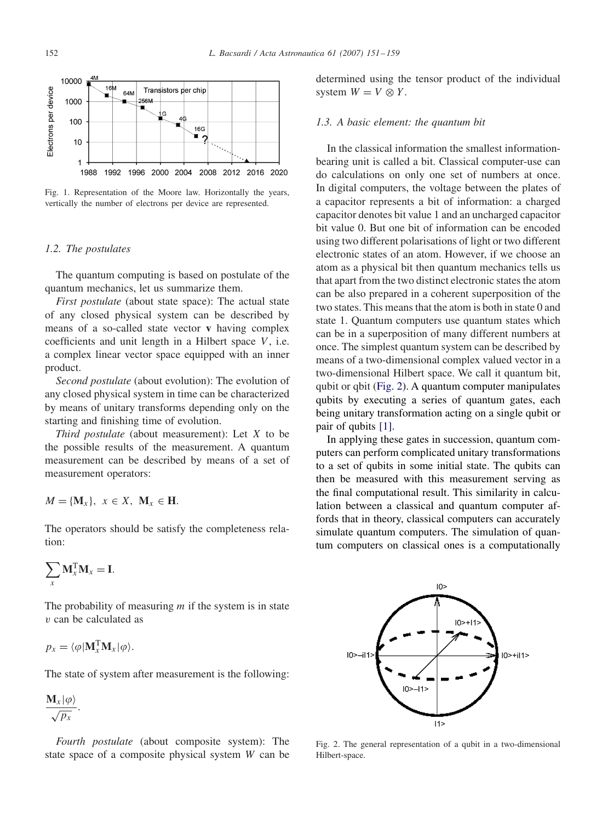<span id="page-1-0"></span>

Fig. 1. Representation of the Moore law. Horizontally the years, vertically the number of electrons per device are represented.

#### *1.2. The postulates*

The quantum computing is based on postulate of the quantum mechanics, let us summarize them.

*First postulate* (about state space): The actual state of any closed physical system can be described by means of a so-called state vector **v** having complex coefficients and unit length in a Hilbert space  $V$ , i.e. a complex linear vector space equipped with an inner product.

*Second postulate* (about evolution): The evolution of any closed physical system in time can be characterized by means of unitary transforms depending only on the starting and finishing time of evolution.

*Third postulate* (about measurement): Let X to be the possible results of the measurement. A quantum measurement can be described by means of a set of measurement operators:

$$
M = \{ \mathbf{M}_x \}, \ \ x \in X, \ \mathbf{M}_x \in \mathbf{H}.
$$

The operators should be satisfy the completeness relation:

$$
\sum_{x} \mathbf{M}_{x}^{\mathrm{T}} \mathbf{M}_{x} = \mathbf{I}.
$$

The probability of measuring  $m$  if the system is in state v can be calculated as

$$
p_x = \langle \varphi | \mathbf{M}_x^{\mathrm{T}} \mathbf{M}_x | \varphi \rangle.
$$

The state of system after measurement is the following:

 $\mathbf{M}_x | \varphi$  $\rangle$  $\frac{f(x+y)}{\sqrt{p_x}}$ .

*Fourth postulate* (about composite system): The state space of a composite physical system W can be

determined using the tensor product of the individual system  $W = V \otimes Y$ .

## *1.3. A basic element: the quantum bit*

In the classical information the smallest informationbearing unit is called a bit. Classical computer-use can do calculations on only one set of numbers at once. In digital computers, the voltage between the plates of a capacitor represents a bit of information: a charged capacitor denotes bit value 1 and an uncharged capacitor bit value 0. But one bit of information can be encoded using two different polarisations of light or two different electronic states of an atom. However, if we choose an atom as a physical bit then quantum mechanics tells us that apart from the two distinct electronic states the atom can be also prepared in a coherent superposition of the two states. This means that the atom is both in state 0 and state 1. Quantum computers use quantum states which can be in a superposition of many different numbers at once. The simplest quantum system can be described by means of a two-dimensional complex valued vector in a two-dimensional Hilbert space. We call it quantum bit, qubit or qbit (Fig. 2). A quantum computer manipulates qubits by executing a series of quantum gates, each being unitary transformation acting on a single qubit or pair of qubits [\[1\].](#page-8-0)

In applying these gates in succession, quantum computers can perform complicated unitary transformations to a set of qubits in some initial state. The qubits can then be measured with this measurement serving as the final computational result. This similarity in calculation between a classical and quantum computer affords that in theory, classical computers can accurately simulate quantum computers. The simulation of quantum computers on classical ones is a computationally



Fig. 2. The general representation of a qubit in a two-dimensional Hilbert-space.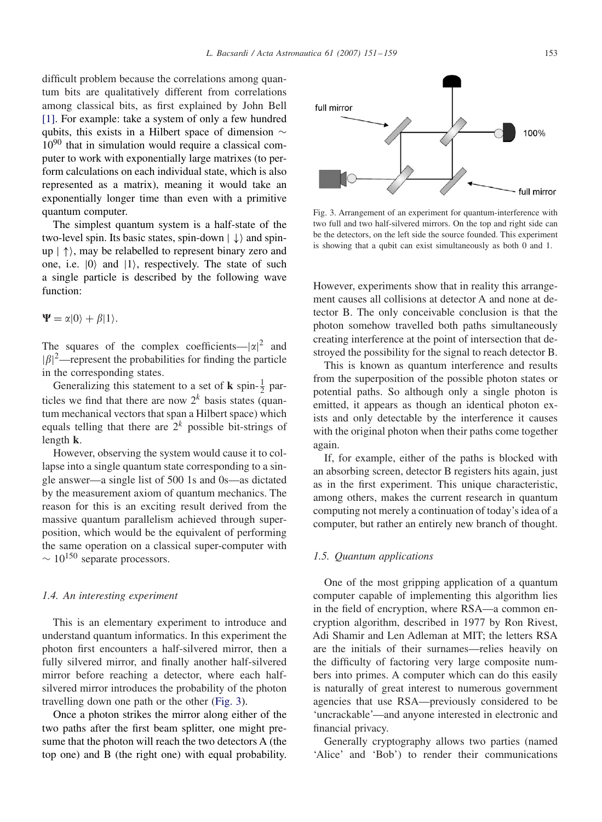difficult problem because the correlations among quantum bits are qualitatively different from correlations among classical bits, as first explained by John Bell [\[1\].](#page-8-0) For example: take a system of only a few hundred qubits, this exists in a Hilbert space of dimension ∼  $10^{90}$  that in simulation would require a classical computer to work with exponentially large matrixes (to perform calculations on each individual state, which is also represented as a matrix), meaning it would take an exponentially longer time than even with a primitive quantum computer.

The simplest quantum system is a half-state of the two-level spin. Its basic states, spin-down  $|\downarrow\rangle$  and spinup  $|\uparrow\rangle$ , may be relabelled to represent binary zero and one, i.e.  $|0\rangle$  and  $|1\rangle$ , respectively. The state of such a single particle is described by the following wave function:

 $\Psi = \alpha |0\rangle + \beta |1\rangle.$ 

The squares of the complex coefficients— $|\alpha|^2$  and  $|\beta|^2$ —represent the probabilities for finding the particle in the corresponding states.

Generalizing this statement to a set of **k** spin- $\frac{1}{2}$  particles we find that there are now  $2^k$  basis states (quantum mechanical vectors that span a Hilbert space) which equals telling that there are  $2^k$  possible bit-strings of length **k**.

However, observing the system would cause it to collapse into a single quantum state corresponding to a single answer—a single list of 500 1s and 0s—as dictated by the measurement axiom of quantum mechanics. The reason for this is an exciting result derived from the massive quantum parallelism achieved through superposition, which would be the equivalent of performing the same operation on a classical super-computer with  $\sim 10^{150}$  separate processors.

## *1.4. An interesting experiment*

This is an elementary experiment to introduce and understand quantum informatics. In this experiment the photon first encounters a half-silvered mirror, then a fully silvered mirror, and finally another half-silvered mirror before reaching a detector, where each halfsilvered mirror introduces the probability of the photon travelling down one path or the other (Fig. 3).

Once a photon strikes the mirror along either of the two paths after the first beam splitter, one might presume that the photon will reach the two detectors A (the top one) and B (the right one) with equal probability.



Fig. 3. Arrangement of an experiment for quantum-interference with two full and two half-silvered mirrors. On the top and right side can be the detectors, on the left side the source founded. This experiment is showing that a qubit can exist simultaneously as both 0 and 1.

However, experiments show that in reality this arrangement causes all collisions at detector A and none at detector B. The only conceivable conclusion is that the photon somehow travelled both paths simultaneously creating interference at the point of intersection that destroyed the possibility for the signal to reach detector B.

This is known as quantum interference and results from the superposition of the possible photon states or potential paths. So although only a single photon is emitted, it appears as though an identical photon exists and only detectable by the interference it causes with the original photon when their paths come together again.

If, for example, either of the paths is blocked with an absorbing screen, detector B registers hits again, just as in the first experiment. This unique characteristic, among others, makes the current research in quantum computing not merely a continuation of today's idea of a computer, but rather an entirely new branch of thought.

## *1.5. Quantum applications*

One of the most gripping application of a quantum computer capable of implementing this algorithm lies in the field of encryption, where RSA—a common encryption algorithm, described in 1977 by Ron Rivest, Adi Shamir and Len Adleman at MIT; the letters RSA are the initials of their surnames—relies heavily on the difficulty of factoring very large composite numbers into primes. A computer which can do this easily is naturally of great interest to numerous government agencies that use RSA—previously considered to be 'uncrackable'—and anyone interested in electronic and financial privacy.

Generally cryptography allows two parties (named 'Alice' and 'Bob') to render their communications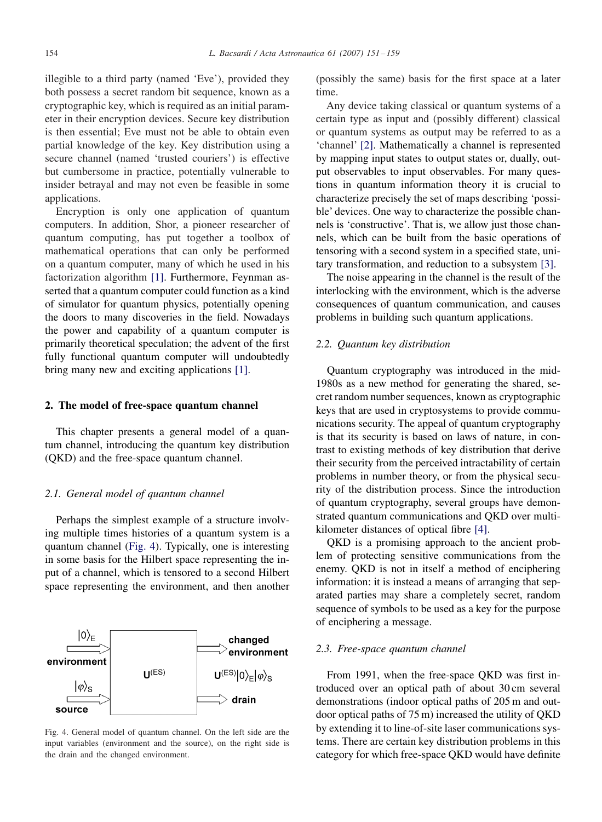illegible to a third party (named 'Eve'), provided they both possess a secret random bit sequence, known as a cryptographic key, which is required as an initial parameter in their encryption devices. Secure key distribution is then essential; Eve must not be able to obtain even partial knowledge of the key. Key distribution using a secure channel (named 'trusted couriers') is effective but cumbersome in practice, potentially vulnerable to insider betrayal and may not even be feasible in some applications.

Encryption is only one application of quantum computers. In addition, Shor, a pioneer researcher of quantum computing, has put together a toolbox of mathematical operations that can only be performed on a quantum computer, many of which he used in his factorization algorithm [\[1\].](#page-8-0) Furthermore, Feynman asserted that a quantum computer could function as a kind of simulator for quantum physics, potentially opening the doors to many discoveries in the field. Nowadays the power and capability of a quantum computer is primarily theoretical speculation; the advent of the first fully functional quantum computer will undoubtedly bring many new and exciting applications [\[1\].](#page-8-0)

## **2. The model of free-space quantum channel**

This chapter presents a general model of a quantum channel, introducing the quantum key distribution (QKD) and the free-space quantum channel.

## *2.1. General model of quantum channel*

Perhaps the simplest example of a structure involving multiple times histories of a quantum system is a quantum channel (Fig. 4). Typically, one is interesting in some basis for the Hilbert space representing the input of a channel, which is tensored to a second Hilbert space representing the environment, and then another



Fig. 4. General model of quantum channel. On the left side are the input variables (environment and the source), on the right side is the drain and the changed environment.

(possibly the same) basis for the first space at a later time.

Any device taking classical or quantum systems of a certain type as input and (possibly different) classical or quantum systems as output may be referred to as a 'channel' [\[2\].](#page-8-0) Mathematically a channel is represented by mapping input states to output states or, dually, output observables to input observables. For many questions in quantum information theory it is crucial to characterize precisely the set of maps describing 'possible' devices. One way to characterize the possible channels is 'constructive'. That is, we allow just those channels, which can be built from the basic operations of tensoring with a second system in a specified state, unitary transformation, and reduction to a subsystem [\[3\].](#page-8-0)

The noise appearing in the channel is the result of the interlocking with the environment, which is the adverse consequences of quantum communication, and causes problems in building such quantum applications.

## *2.2. Quantum key distribution*

Quantum cryptography was introduced in the mid-1980s as a new method for generating the shared, secret random number sequences, known as cryptographic keys that are used in cryptosystems to provide communications security. The appeal of quantum cryptography is that its security is based on laws of nature, in contrast to existing methods of key distribution that derive their security from the perceived intractability of certain problems in number theory, or from the physical security of the distribution process. Since the introduction of quantum cryptography, several groups have demonstrated quantum communications and QKD over multikilometer distances of optical fibre [\[4\].](#page-8-0)

QKD is a promising approach to the ancient problem of protecting sensitive communications from the enemy. QKD is not in itself a method of enciphering information: it is instead a means of arranging that separated parties may share a completely secret, random sequence of symbols to be used as a key for the purpose of enciphering a message.

#### *2.3. Free-space quantum channel*

From 1991, when the free-space QKD was first introduced over an optical path of about 30 cm several demonstrations (indoor optical paths of 205 m and outdoor optical paths of 75 m) increased the utility of QKD by extending it to line-of-site laser communications systems. There are certain key distribution problems in this category for which free-space QKD would have definite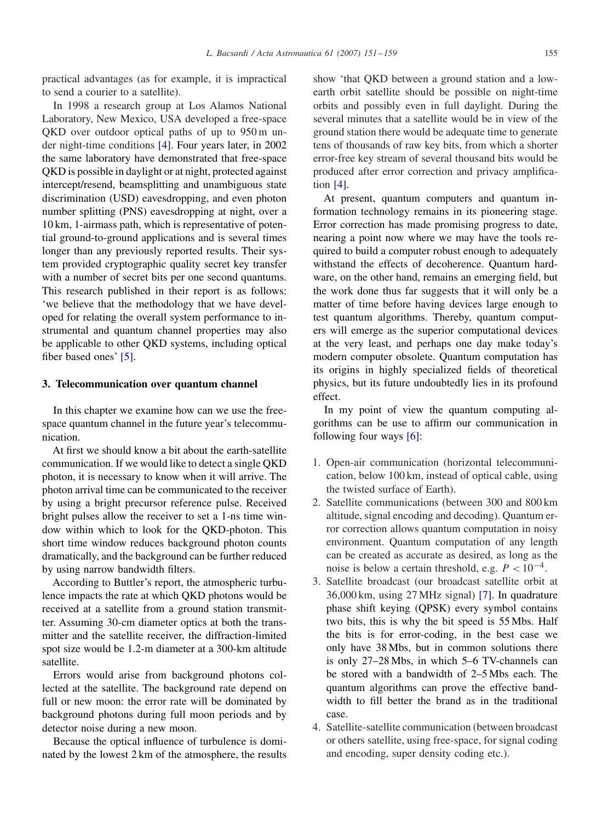practical advantages (as for example, it is impractical to send a courier to a satellite).

In 1998 a research group at Los Alamos National Laboratory, New Mexico, USA developed a free-space QKD over outdoor optical paths of up to 950 m under night-time conditions [\[4\].](#page-8-0) Four years later, in 2002 the same laboratory have demonstrated that free-space QKD is possible in daylight or at night, protected against intercept/resend, beamsplitting and unambiguous state discrimination (USD) eavesdropping, and even photon number splitting (PNS) eavesdropping at night, over a 10 km, 1-airmass path, which is representative of potential ground-to-ground applications and is several times longer than any previously reported results. Their system provided cryptographic quality secret key transfer with a number of secret bits per one second quantums. This research published in their report is as follows: 'we believe that the methodology that we have developed for relating the overall system performance to instrumental and quantum channel properties may also be applicable to other QKD systems, including optical fiber based ones' [\[5\].](#page-8-0)

# **3. Telecommunication over quantum channel**

In this chapter we examine how can we use the freespace quantum channel in the future year's telecommunication.

At first we should know a bit about the earth-satellite communication. If we would like to detect a single QKD photon, it is necessary to know when it will arrive. The photon arrival time can be communicated to the receiver by using a bright precursor reference pulse. Received bright pulses allow the receiver to set a 1-ns time window within which to look for the QKD-photon. This short time window reduces background photon counts dramatically, and the background can be further reduced by using narrow bandwidth filters.

According to Buttler's report, the atmospheric turbulence impacts the rate at which QKD photons would be received at a satellite from a ground station transmitter. Assuming 30-cm diameter optics at both the transmitter and the satellite receiver, the diffraction-limited spot size would be 1.2-m diameter at a 300-km altitude satellite.

Errors would arise from background photons collected at the satellite. The background rate depend on full or new moon: the error rate will be dominated by background photons during full moon periods and by detector noise during a new moon.

Because the optical influence of turbulence is dominated by the lowest 2 km of the atmosphere, the results show 'that QKD between a ground station and a lowearth orbit satellite should be possible on night-time orbits and possibly even in full daylight. During the several minutes that a satellite would be in view of the ground station there would be adequate time to generate tens of thousands of raw key bits, from which a shorter error-free key stream of several thousand bits would be produced after error correction and privacy amplification [\[4\].](#page-8-0)

At present, quantum computers and quantum information technology remains in its pioneering stage. Error correction has made promising progress to date, nearing a point now where we may have the tools required to build a computer robust enough to adequately withstand the effects of decoherence. Quantum hardware, on the other hand, remains an emerging field, but the work done thus far suggests that it will only be a matter of time before having devices large enough to test quantum algorithms. Thereby, quantum computers will emerge as the superior computational devices at the very least, and perhaps one day make today's modern computer obsolete. Quantum computation has its origins in highly specialized fields of theoretical physics, but its future undoubtedly lies in its profound effect.

In my point of view the quantum computing algorithms can be use to affirm our communication in following four ways [\[6\]:](#page-8-0)

- 1. Open-air communication (horizontal telecommunication, below 100 km, instead of optical cable, using the twisted surface of Earth).
- 2. Satellite communications (between 300 and 800 km altitude, signal encoding and decoding). Quantum error correction allows quantum computation in noisy environment. Quantum computation of any length can be created as accurate as desired, as long as the noise is below a certain threshold, e.g.  $P < 10^{-4}$ .
- 3. Satellite broadcast (our broadcast satellite orbit at 36,000 km, using 27 MHz signal) [\[7\].](#page-8-0) In quadrature phase shift keying (QPSK) every symbol contains two bits, this is why the bit speed is 55 Mbs. Half the bits is for error-coding, in the best case we only have 38 Mbs, but in common solutions there is only 27–28 Mbs, in which 5–6 TV-channels can be stored with a bandwidth of 2–5 Mbs each. The quantum algorithms can prove the effective bandwidth to fill better the brand as in the traditional case.
- 4. Satellite-satellite communication (between broadcast or others satellite, using free-space, for signal coding and encoding, super density coding etc.).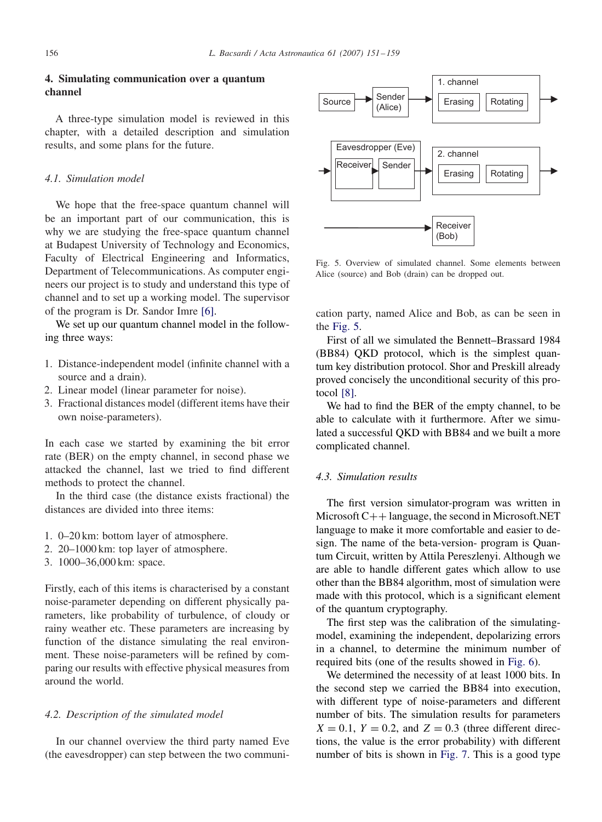# **4. Simulating communication over a quantum channel**

A three-type simulation model is reviewed in this chapter, with a detailed description and simulation results, and some plans for the future.

# *4.1. Simulation model*

We hope that the free-space quantum channel will be an important part of our communication, this is why we are studying the free-space quantum channel at Budapest University of Technology and Economics, Faculty of Electrical Engineering and Informatics, Department of Telecommunications. As computer engineers our project is to study and understand this type of channel and to set up a working model. The supervisor of the program is Dr. Sandor Imre [\[6\].](#page-8-0)

We set up our quantum channel model in the following three ways:

- 1. Distance-independent model (infinite channel with a source and a drain).
- 2. Linear model (linear parameter for noise).
- 3. Fractional distances model (different items have their own noise-parameters).

In each case we started by examining the bit error rate (BER) on the empty channel, in second phase we attacked the channel, last we tried to find different methods to protect the channel.

In the third case (the distance exists fractional) the distances are divided into three items:

- 1. 0–20 km: bottom layer of atmosphere.
- 2. 20–1000 km: top layer of atmosphere.
- 3. 1000–36,000 km: space.

Firstly, each of this items is characterised by a constant noise-parameter depending on different physically parameters, like probability of turbulence, of cloudy or rainy weather etc. These parameters are increasing by function of the distance simulating the real environment. These noise-parameters will be refined by comparing our results with effective physical measures from around the world.

#### *4.2. Description of the simulated model*

In our channel overview the third party named Eve (the eavesdropper) can step between the two communi-



Fig. 5. Overview of simulated channel. Some elements between Alice (source) and Bob (drain) can be dropped out.

cation party, named Alice and Bob, as can be seen in the Fig. 5.

First of all we simulated the Bennett–Brassard 1984 (BB84) QKD protocol, which is the simplest quantum key distribution protocol. Shor and Preskill already proved concisely the unconditional security of this protocol [\[8\].](#page-8-0)

We had to find the BER of the empty channel, to be able to calculate with it furthermore. After we simulated a successful QKD with BB84 and we built a more complicated channel.

## *4.3. Simulation results*

The first version simulator-program was written in Microsoft C++ language, the second in Microsoft.NET language to make it more comfortable and easier to design. The name of the beta-version- program is Quantum Circuit, written by Attila Pereszlenyi. Although we are able to handle different gates which allow to use other than the BB84 algorithm, most of simulation were made with this protocol, which is a significant element of the quantum cryptography.

The first step was the calibration of the simulatingmodel, examining the independent, depolarizing errors in a channel, to determine the minimum number of required bits (one of the results showed in [Fig. 6\)](#page-6-0).

We determined the necessity of at least 1000 bits. In the second step we carried the BB84 into execution, with different type of noise-parameters and different number of bits. The simulation results for parameters  $X = 0.1$ ,  $Y = 0.2$ , and  $Z = 0.3$  (three different directions, the value is the error probability) with different number of bits is shown in [Fig. 7.](#page-6-0) This is a good type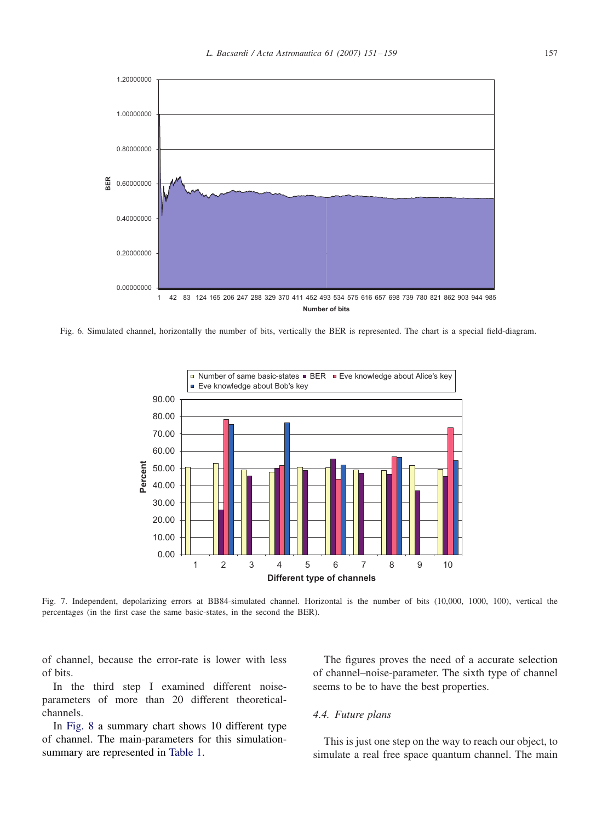<span id="page-6-0"></span>

Fig. 6. Simulated channel, horizontally the number of bits, vertically the BER is represented. The chart is a special field-diagram.



Fig. 7. Independent, depolarizing errors at BB84-simulated channel. Horizontal is the number of bits (10,000, 1000, 100), vertical the percentages (in the first case the same basic-states, in the second the BER).

of channel, because the error-rate is lower with less of bits.

In the third step I examined different noiseparameters of more than 20 different theoreticalchannels.

In [Fig. 8](#page-7-0) a summary chart shows 10 different type of channel. The main-parameters for this simulationsummary are represented in [Table 1.](#page-7-0)

The figures proves the need of a accurate selection of channel–noise-parameter. The sixth type of channel seems to be to have the best properties.

#### *4.4. Future plans*

This is just one step on the way to reach our object, to simulate a real free space quantum channel. The main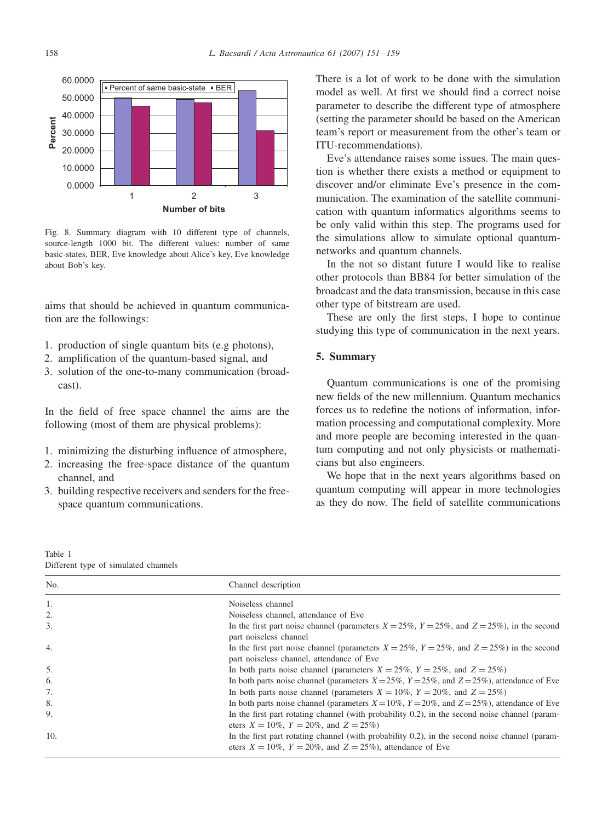<span id="page-7-0"></span>

Fig. 8. Summary diagram with 10 different type of channels, source-length 1000 bit. The different values: number of same basic-states, BER, Eve knowledge about Alice's key, Eve knowledge about Bob's key.

aims that should be achieved in quantum communication are the followings:

- 1. production of single quantum bits (e.g photons),
- 2. amplification of the quantum-based signal, and
- 3. solution of the one-to-many communication (broadcast).

In the field of free space channel the aims are the following (most of them are physical problems):

- 1. minimizing the disturbing influence of atmosphere,
- 2. increasing the free-space distance of the quantum channel, and
- 3. building respective receivers and senders for the freespace quantum communications.

There is a lot of work to be done with the simulation model as well. At first we should find a correct noise parameter to describe the different type of atmosphere (setting the parameter should be based on the American team's report or measurement from the other's team or ITU-recommendations).

Eve's attendance raises some issues. The main question is whether there exists a method or equipment to discover and/or eliminate Eve's presence in the communication. The examination of the satellite communication with quantum informatics algorithms seems to be only valid within this step. The programs used for the simulations allow to simulate optional quantumnetworks and quantum channels.

In the not so distant future I would like to realise other protocols than BB84 for better simulation of the broadcast and the data transmission, because in this case other type of bitstream are used.

These are only the first steps, I hope to continue studying this type of communication in the next years.

## **5. Summary**

Quantum communications is one of the promising new fields of the new millennium. Quantum mechanics forces us to redefine the notions of information, information processing and computational complexity. More and more people are becoming interested in the quantum computing and not only physicists or mathematicians but also engineers.

We hope that in the next years algorithms based on quantum computing will appear in more technologies as they do now. The field of satellite communications

Table 1 Different type of simulated channels

| No. | Channel description                                                                                                                                                        |
|-----|----------------------------------------------------------------------------------------------------------------------------------------------------------------------------|
| 1.  | Noiseless channel                                                                                                                                                          |
| 2.  | Noiseless channel, attendance of Eve                                                                                                                                       |
| 3.  | In the first part noise channel (parameters $X = 25\%$ , $Y = 25\%$ , and $Z = 25\%$ ), in the second<br>part noiseless channel                                            |
| 4.  | In the first part noise channel (parameters $X = 25\%$ , $Y = 25\%$ , and $Z = 25\%$ ) in the second<br>part noiseless channel, attendance of Eve                          |
| 5.  | In both parts noise channel (parameters $X = 25\%$ , $Y = 25\%$ , and $Z = 25\%$ )                                                                                         |
| 6.  | In both parts noise channel (parameters $X = 25\%$ , $Y = 25\%$ , and $Z = 25\%$ ), attendance of Eve                                                                      |
| 7.  | In both parts noise channel (parameters $X = 10\%$ , $Y = 20\%$ , and $Z = 25\%$ )                                                                                         |
| 8.  | In both parts noise channel (parameters $X = 10\%$ , $Y = 20\%$ , and $Z = 25\%$ ), attendance of Eve                                                                      |
| 9.  | In the first part rotating channel (with probability $(0.2)$ ), in the second noise channel (param-<br>eters $X = 10\%$ , $Y = 20\%$ , and $Z = 25\%$                      |
| 10. | In the first part rotating channel (with probability $(0.2)$ ), in the second noise channel (param-<br>eters $X = 10\%$ , $Y = 20\%$ , and $Z = 25\%$ ), attendance of Eve |